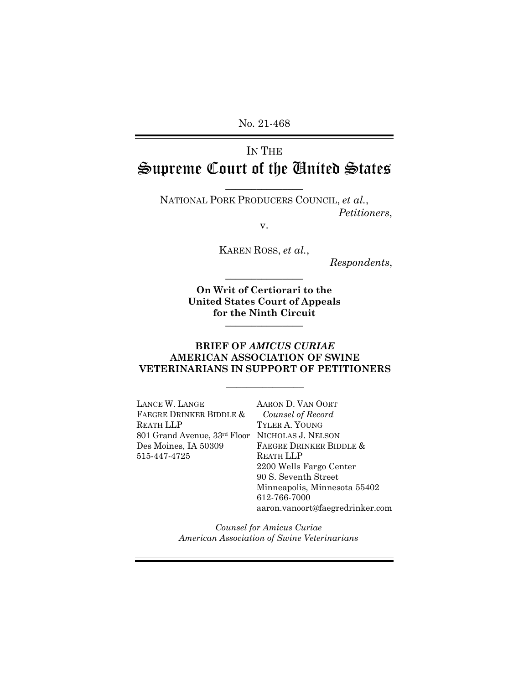No. 21-468

# IN THE Supreme Court of the United States

 $\frac{1}{2}$ 

NATIONAL PORK PRODUCERS COUNCIL, *et al.*, *Petitioners*,

v.

KAREN ROSS, *et al.*,

 $\frac{1}{2}$ 

*Respondents*,

**On Writ of Certiorari to the United States Court of Appeals for the Ninth Circuit** \_\_\_\_\_\_\_\_\_\_\_\_\_\_\_

#### **BRIEF OF** *AMICUS CURIAE*  **AMERICAN ASSOCIATION OF SWINE VETERINARIANS IN SUPPORT OF PETITIONERS**

 $\overline{\phantom{a}}$  , we can also the contract of  $\overline{\phantom{a}}$ 

LANCE W. LANGE FAEGRE DRINKER BIDDLE & REATH LLP 801 Grand Avenue, 33rd Floor NICHOLAS J. NELSON Des Moines, IA 50309 515-447-4725

AARON D. VAN OORT *Counsel of Record* TYLER A. YOUNG FAEGRE DRINKER BIDDLE & REATH LLP 2200 Wells Fargo Center 90 S. Seventh Street Minneapolis, Minnesota 55402 612-766-7000 aaron.vanoort@faegredrinker.com

*Counsel for Amicus Curiae American Association of Swine Veterinarians*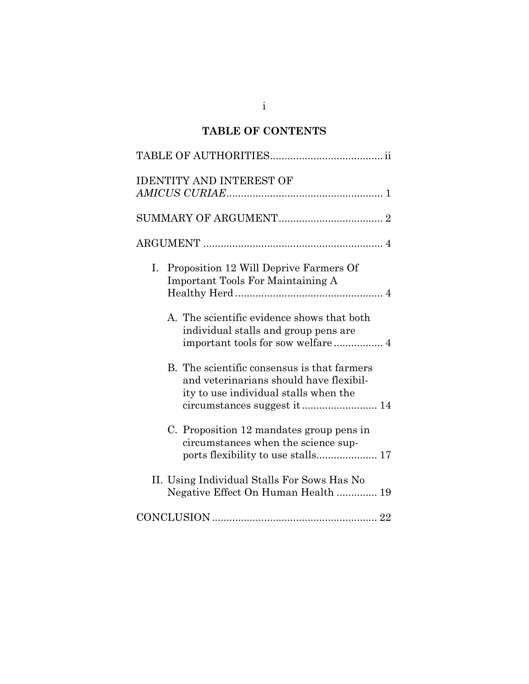# **TABLE OF CONTENTS**

| <b>IDENTITY AND INTEREST OF</b>                                                                                                 |
|---------------------------------------------------------------------------------------------------------------------------------|
|                                                                                                                                 |
|                                                                                                                                 |
| Proposition 12 Will Deprive Farmers Of<br>Ι.<br><b>Important Tools For Maintaining A</b>                                        |
| A. The scientific evidence shows that both<br>individual stalls and group pens are                                              |
| B. The scientific consensus is that farmers<br>and veterinarians should have flexibil-<br>ity to use individual stalls when the |
| C. Proposition 12 mandates group pens in<br>circumstances when the science sup-                                                 |
| II. Using Individual Stalls For Sows Has No<br>Negative Effect On Human Health  19                                              |
|                                                                                                                                 |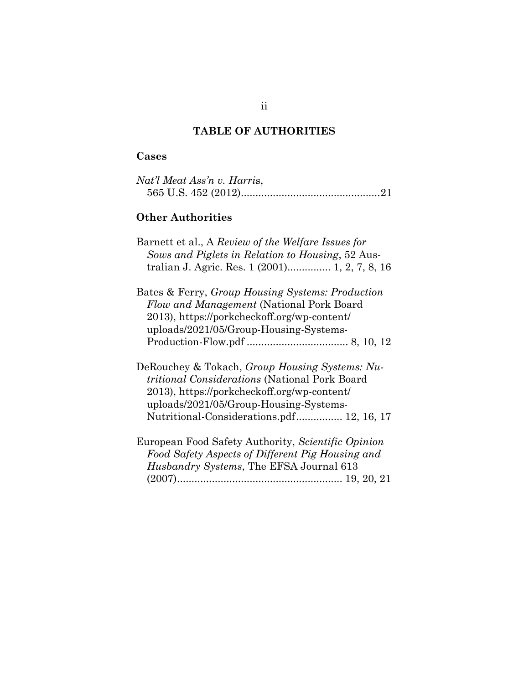# **TABLE OF AUTHORITIES**

# **Cases**

| Nat'l Meat Ass'n v. Harris, |  |
|-----------------------------|--|
|                             |  |

# **Other Authorities**

| Barnett et al., A Review of the Welfare Issues for<br>Sows and Piglets in Relation to Housing, 52 Aus-<br>tralian J. Agric. Res. 1 (2001) 1, 2, 7, 8, 16                                                                                     |
|----------------------------------------------------------------------------------------------------------------------------------------------------------------------------------------------------------------------------------------------|
| Bates & Ferry, Group Housing Systems: Production<br>Flow and Management (National Pork Board<br>2013), https://porkcheckoff.org/wp-content/<br>uploads/2021/05/Group-Housing-Systems-                                                        |
| DeRouchey & Tokach, Group Housing Systems: Nu-<br><i>tritional Considerations</i> (National Pork Board<br>2013), https://porkcheckoff.org/wp-content/<br>uploads/2021/05/Group-Housing-Systems-<br>Nutritional-Considerations.pdf 12, 16, 17 |
| European Food Safety Authority, Scientific Opinion<br>Food Safety Aspects of Different Pig Housing and<br>Husbandry Systems, The EFSA Journal 613                                                                                            |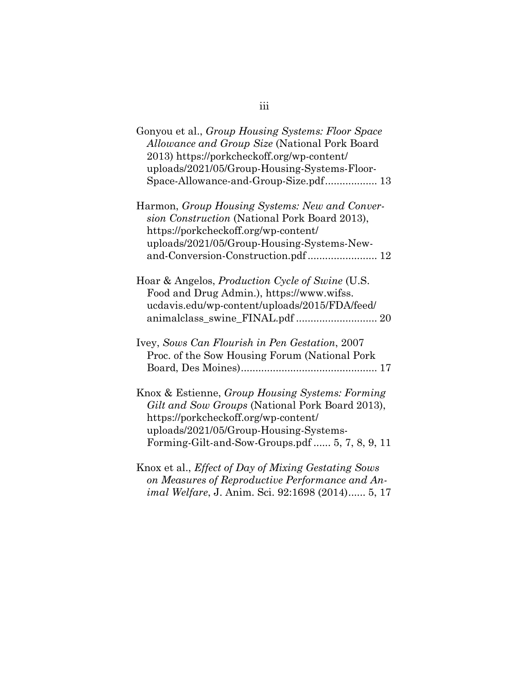| Gonyou et al., <i>Group Housing Systems: Floor Space</i><br>Allowance and Group Size (National Pork Board<br>2013) https://porkcheckoff.org/wp-content/<br>uploads/2021/05/Group-Housing-Systems-Floor-<br>Space-Allowance-and-Group-Size.pdf 13 |
|--------------------------------------------------------------------------------------------------------------------------------------------------------------------------------------------------------------------------------------------------|
| Harmon, Group Housing Systems: New and Conver-<br>sion Construction (National Pork Board 2013),<br>https://porkcheckoff.org/wp-content/<br>uploads/2021/05/Group-Housing-Systems-New-<br>and-Conversion-Construction.pdf 12                      |
| Hoar & Angelos, <i>Production Cycle of Swine</i> (U.S.<br>Food and Drug Admin.), https://www.wifss.<br>ucdavis.edu/wp-content/uploads/2015/FDA/feed/<br>animalclass_swine_FINAL.pdf  20                                                          |
| Ivey, Sows Can Flourish in Pen Gestation, 2007<br>Proc. of the Sow Housing Forum (National Pork                                                                                                                                                  |
| Knox & Estienne, Group Housing Systems: Forming<br>Gilt and Sow Groups (National Pork Board 2013),<br>https://porkcheckoff.org/wp-content/<br>uploads/2021/05/Group-Housing-Systems-<br>Forming-Gilt-and-Sow-Groups.pdf  5, 7, 8, 9, 11          |
| Knox et al., <i>Effect of Day of Mixing Gestating Sows</i><br>on Measures of Reproductive Performance and An-<br>imal Welfare, J. Anim. Sci. 92:1698 (2014) 5, 17                                                                                |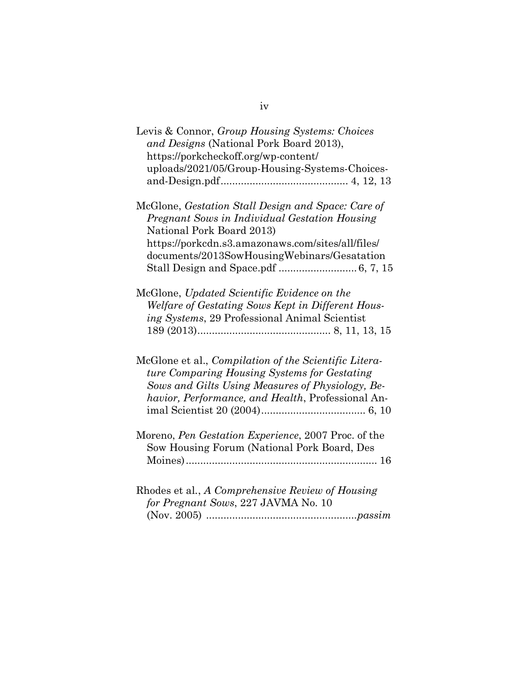| Levis & Connor, Group Housing Systems: Choices<br>and Designs (National Pork Board 2013),                                                                                                                             |
|-----------------------------------------------------------------------------------------------------------------------------------------------------------------------------------------------------------------------|
| https://porkcheckoff.org/wp-content/<br>uploads/2021/05/Group-Housing-Systems-Choices-                                                                                                                                |
|                                                                                                                                                                                                                       |
| McGlone, Gestation Stall Design and Space: Care of<br>Pregnant Sows in Individual Gestation Housing<br>National Pork Board 2013)<br>https://porkcdn.s3.amazonaws.com/sites/all/files/                                 |
| documents/2013SowHousingWebinars/Gesatation                                                                                                                                                                           |
| McGlone, Updated Scientific Evidence on the<br>Welfare of Gestating Sows Kept in Different Hous-<br>ing Systems, 29 Professional Animal Scientist                                                                     |
| McGlone et al., <i>Compilation of the Scientific Litera-</i><br>ture Comparing Housing Systems for Gestating<br>Sows and Gilts Using Measures of Physiology, Be-<br>havior, Performance, and Health, Professional An- |
| Moreno, Pen Gestation Experience, 2007 Proc. of the<br>Sow Housing Forum (National Pork Board, Des                                                                                                                    |
| Rhodes et al., A Comprehensive Review of Housing<br>for Pregnant Sows, 227 JAVMA No. 10                                                                                                                               |

iv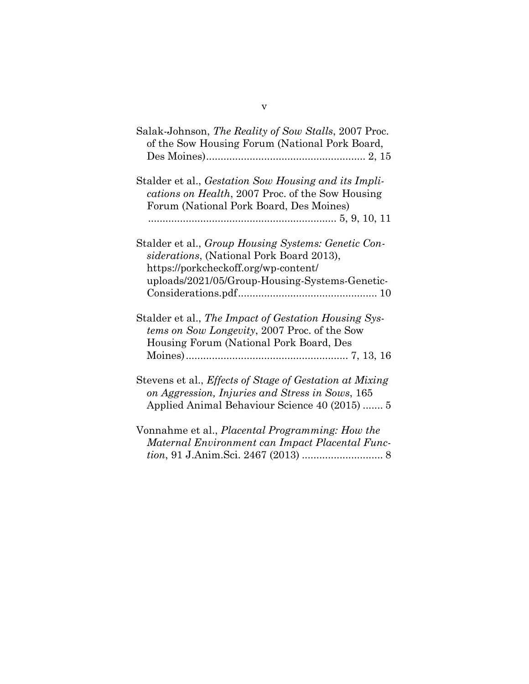| Salak-Johnson, <i>The Reality of Sow Stalls</i> , 2007 Proc.<br>of the Sow Housing Forum (National Pork Board,                                                                            |
|-------------------------------------------------------------------------------------------------------------------------------------------------------------------------------------------|
| Stalder et al., Gestation Sow Housing and its Impli-<br>cations on Health, 2007 Proc. of the Sow Housing<br>Forum (National Pork Board, Des Moines)                                       |
| Stalder et al., Group Housing Systems: Genetic Con-<br>siderations, (National Pork Board 2013),<br>https://porkcheckoff.org/wp-content/<br>uploads/2021/05/Group-Housing-Systems-Genetic- |
| Stalder et al., The Impact of Gestation Housing Sys-<br>tems on Sow Longevity, 2007 Proc. of the Sow<br>Housing Forum (National Pork Board, Des                                           |
| Stevens et al., <i>Effects of Stage of Gestation at Mixing</i><br>on Aggression, Injuries and Stress in Sows, 165<br>Applied Animal Behaviour Science 40 (2015)  5                        |
| Vonnahme et al., Placental Programming: How the<br>Maternal Environment can Impact Placental Func-                                                                                        |

*tion*, 91 J.Anim.Sci. 2467 (2013) ............................ 8

v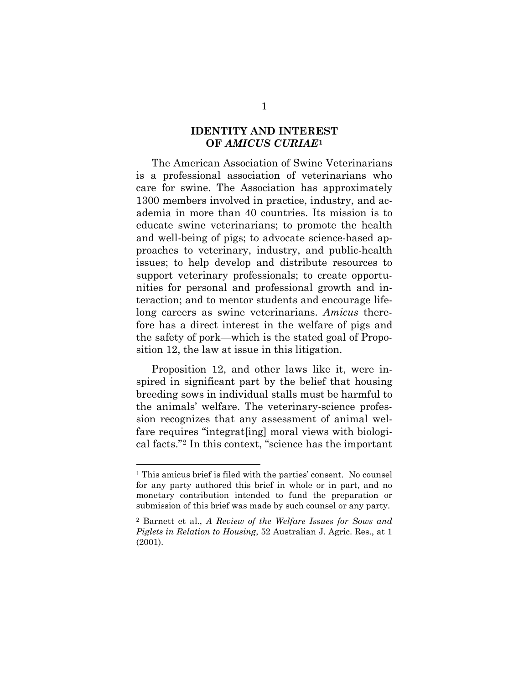#### **IDENTITY AND INTEREST OF** *AMICUS CURIAE***[1](#page-6-0)**

The American Association of Swine Veterinarians is a professional association of veterinarians who care for swine. The Association has approximately 1300 members involved in practice, industry, and academia in more than 40 countries. Its mission is to educate swine veterinarians; to promote the health and well-being of pigs; to advocate science-based approaches to veterinary, industry, and public-health issues; to help develop and distribute resources to support veterinary professionals; to create opportunities for personal and professional growth and interaction; and to mentor students and encourage lifelong careers as swine veterinarians. *Amicus* therefore has a direct interest in the welfare of pigs and the safety of pork—which is the stated goal of Proposition 12, the law at issue in this litigation.

Proposition 12, and other laws like it, were inspired in significant part by the belief that housing breeding sows in individual stalls must be harmful to the animals' welfare. The veterinary-science profession recognizes that any assessment of animal welfare requires "integrat[ing] moral views with biological facts."[2](#page-6-1) In this context, "science has the important

<span id="page-6-0"></span><sup>1</sup> This amicus brief is filed with the parties' consent. No counsel for any party authored this brief in whole or in part, and no monetary contribution intended to fund the preparation or submission of this brief was made by such counsel or any party.

<span id="page-6-1"></span><sup>2</sup> Barnett et al., *A Review of the Welfare Issues for Sows and Piglets in Relation to Housing*, 52 Australian J. Agric. Res., at 1 (2001).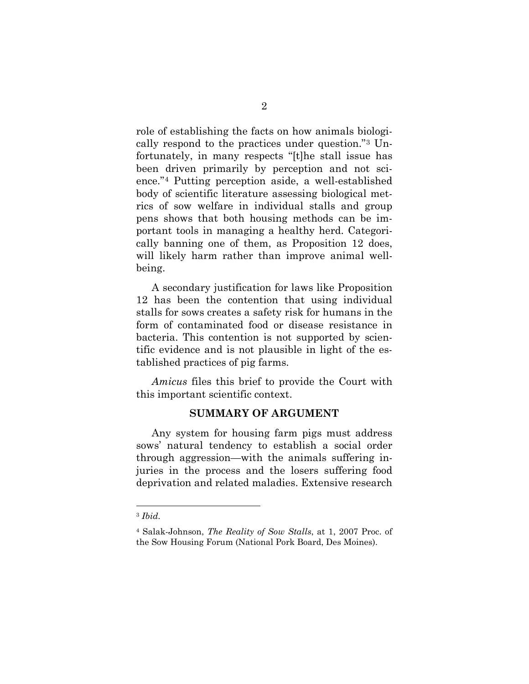role of establishing the facts on how animals biologically respond to the practices under question."[3](#page-7-0) Unfortunately, in many respects "[t]he stall issue has been driven primarily by perception and not science."[4](#page-7-1) Putting perception aside, a well-established body of scientific literature assessing biological metrics of sow welfare in individual stalls and group pens shows that both housing methods can be important tools in managing a healthy herd. Categorically banning one of them, as Proposition 12 does, will likely harm rather than improve animal wellbeing.

A secondary justification for laws like Proposition 12 has been the contention that using individual stalls for sows creates a safety risk for humans in the form of contaminated food or disease resistance in bacteria. This contention is not supported by scientific evidence and is not plausible in light of the established practices of pig farms.

*Amicus* files this brief to provide the Court with this important scientific context.

#### **SUMMARY OF ARGUMENT**

Any system for housing farm pigs must address sows' natural tendency to establish a social order through aggression—with the animals suffering injuries in the process and the losers suffering food deprivation and related maladies. Extensive research

<span id="page-7-0"></span><sup>3</sup> *Ibid.*

<span id="page-7-1"></span><sup>4</sup> Salak-Johnson, *The Reality of Sow Stalls*, at 1, 2007 Proc. of the Sow Housing Forum (National Pork Board, Des Moines).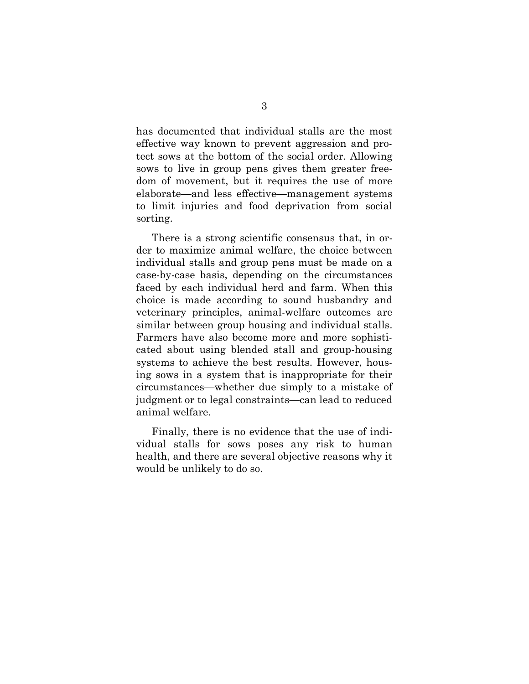has documented that individual stalls are the most effective way known to prevent aggression and protect sows at the bottom of the social order. Allowing sows to live in group pens gives them greater freedom of movement, but it requires the use of more elaborate—and less effective—management systems to limit injuries and food deprivation from social sorting.

There is a strong scientific consensus that, in order to maximize animal welfare, the choice between individual stalls and group pens must be made on a case-by-case basis, depending on the circumstances faced by each individual herd and farm. When this choice is made according to sound husbandry and veterinary principles, animal-welfare outcomes are similar between group housing and individual stalls. Farmers have also become more and more sophisticated about using blended stall and group-housing systems to achieve the best results. However, housing sows in a system that is inappropriate for their circumstances—whether due simply to a mistake of judgment or to legal constraints—can lead to reduced animal welfare.

Finally, there is no evidence that the use of individual stalls for sows poses any risk to human health, and there are several objective reasons why it would be unlikely to do so.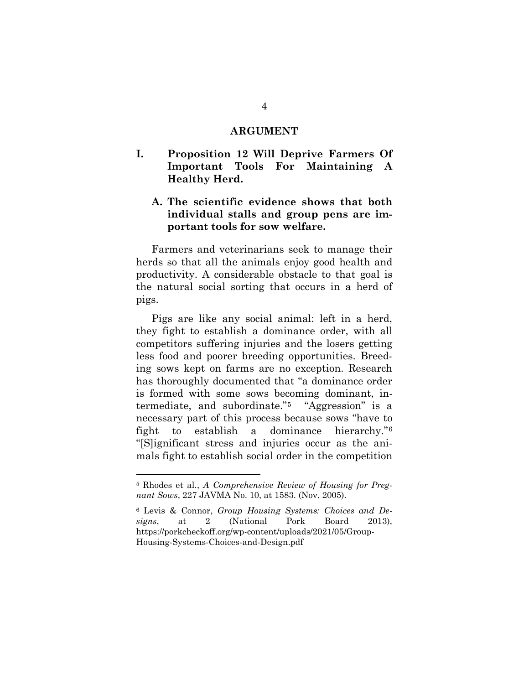#### **ARGUMENT**

## **I. Proposition 12 Will Deprive Farmers Of Important Tools For Maintaining A Healthy Herd.**

## **A. The scientific evidence shows that both individual stalls and group pens are important tools for sow welfare.**

Farmers and veterinarians seek to manage their herds so that all the animals enjoy good health and productivity. A considerable obstacle to that goal is the natural social sorting that occurs in a herd of pigs.

Pigs are like any social animal: left in a herd, they fight to establish a dominance order, with all competitors suffering injuries and the losers getting less food and poorer breeding opportunities. Breeding sows kept on farms are no exception. Research has thoroughly documented that "a dominance order is formed with some sows becoming dominant, intermediate, and subordinate."[5](#page-9-0) "Aggression" is a necessary part of this process because sows "have to fight to establish a dominance hierarchy."[6](#page-9-1) "[S]ignificant stress and injuries occur as the animals fight to establish social order in the competition

<span id="page-9-0"></span><sup>5</sup> Rhodes et al*.*, *A Comprehensive Review of Housing for Pregnant Sows*, 227 JAVMA No. 10, at 1583. (Nov. 2005).

<span id="page-9-1"></span><sup>6</sup> Levis & Connor, *Group Housing Systems: Choices and Designs*, at 2 (National Pork Board 2013), [https://porkcheckoff.org/wp-content/uploads/2021/05/Group-](https://porkcheckoff.org/wp-content/uploads/2021/05/Group-Housing-Systems-Choices-and-Design.pdf)[Housing-Systems-Choices-and-Design.pdf](https://porkcheckoff.org/wp-content/uploads/2021/05/Group-Housing-Systems-Choices-and-Design.pdf)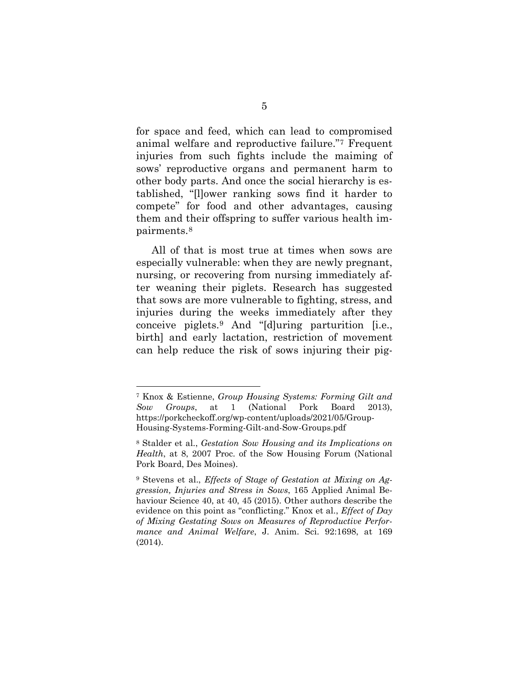for space and feed, which can lead to compromised animal welfare and reproductive failure."[7](#page-10-0) Frequent injuries from such fights include the maiming of sows' reproductive organs and permanent harm to other body parts. And once the social hierarchy is established, "[l]ower ranking sows find it harder to compete" for food and other advantages, causing them and their offspring to suffer various health impairments.[8](#page-10-1)

All of that is most true at times when sows are especially vulnerable: when they are newly pregnant, nursing, or recovering from nursing immediately after weaning their piglets. Research has suggested that sows are more vulnerable to fighting, stress, and injuries during the weeks immediately after they conceive piglets.[9](#page-10-2) And "[d]uring parturition [i.e., birth] and early lactation, restriction of movement can help reduce the risk of sows injuring their pig-

<span id="page-10-0"></span><sup>7</sup> Knox & Estienne, *Group Housing Systems: Forming Gilt and Sow Groups*, at 1 (National Pork Board 2013), [https://porkcheckoff.org/wp-content/uploads/2021/05/Group-](https://porkcheckoff.org/wp-content/uploads/2021/05/Group-Housing-Systems-Forming-Gilt-and-Sow-Groups.pdf)[Housing-Systems-Forming-Gilt-and-Sow-Groups.pdf](https://porkcheckoff.org/wp-content/uploads/2021/05/Group-Housing-Systems-Forming-Gilt-and-Sow-Groups.pdf)

<span id="page-10-1"></span><sup>8</sup> Stalder et al., *Gestation Sow Housing and its Implications on Health*, at 8, 2007 Proc. of the Sow Housing Forum (National Pork Board, Des Moines).

<span id="page-10-2"></span><sup>9</sup> Stevens et al., *Effects of Stage of Gestation at Mixing on Aggression, Injuries and Stress in Sows*, 165 Applied Animal Behaviour Science 40, at 40, 45 (2015). Other authors describe the evidence on this point as "conflicting." Knox et al., *Effect of Day of Mixing Gestating Sows on Measures of Reproductive Performance and Animal Welfare*, J. Anim. Sci. 92:1698, at 169 (2014).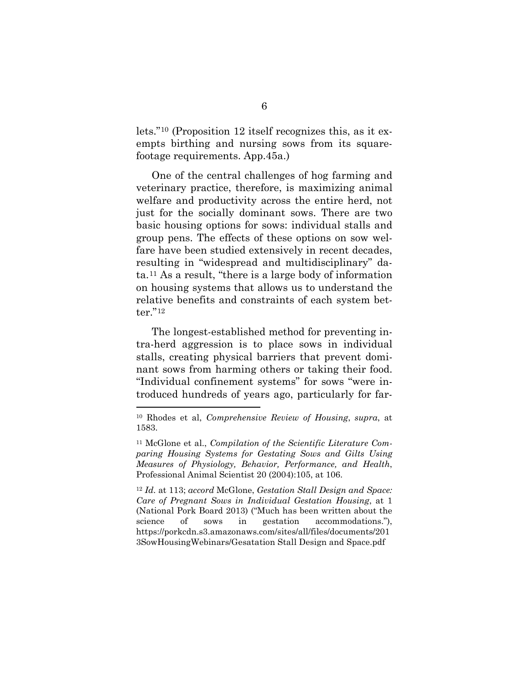lets."[10](#page-11-0) (Proposition 12 itself recognizes this, as it exempts birthing and nursing sows from its squarefootage requirements. App.45a.)

One of the central challenges of hog farming and veterinary practice, therefore, is maximizing animal welfare and productivity across the entire herd, not just for the socially dominant sows. There are two basic housing options for sows: individual stalls and group pens. The effects of these options on sow welfare have been studied extensively in recent decades, resulting in "widespread and multidisciplinary" data.[11](#page-11-1) As a result, "there is a large body of information on housing systems that allows us to understand the relative benefits and constraints of each system better."[12](#page-11-2)

The longest-established method for preventing intra-herd aggression is to place sows in individual stalls, creating physical barriers that prevent dominant sows from harming others or taking their food. "Individual confinement systems" for sows "were introduced hundreds of years ago, particularly for far-

<span id="page-11-2"></span><sup>12</sup> *Id.* at 113; *accord* McGlone, *Gestation Stall Design and Space: Care of Pregnant Sows in Individual Gestation Housing*, at 1 (National Pork Board 2013) ("Much has been written about the science of sows in gestation accommodations."), [https://porkcdn.s3.amazonaws.com/sites/all/files/documents/201](https://porkcdn.s3.amazonaws.com/sites/all/files/documents/2013SowHousingWebinars/Gesatation%20Stall%20Design%20and%20Space.pdf) [3SowHousingWebinars/Gesatation Stall Design and Space.pdf](https://porkcdn.s3.amazonaws.com/sites/all/files/documents/2013SowHousingWebinars/Gesatation%20Stall%20Design%20and%20Space.pdf)

<span id="page-11-0"></span><sup>10</sup> Rhodes et al, *Comprehensive Review of Housing*, *supra*, at 1583.

<span id="page-11-1"></span><sup>11</sup> McGlone et al., *Compilation of the Scientific Literature Comparing Housing Systems for Gestating Sows and Gilts Using Measures of Physiology, Behavior, Performance, and Health*, Professional Animal Scientist 20 (2004):105, at 106.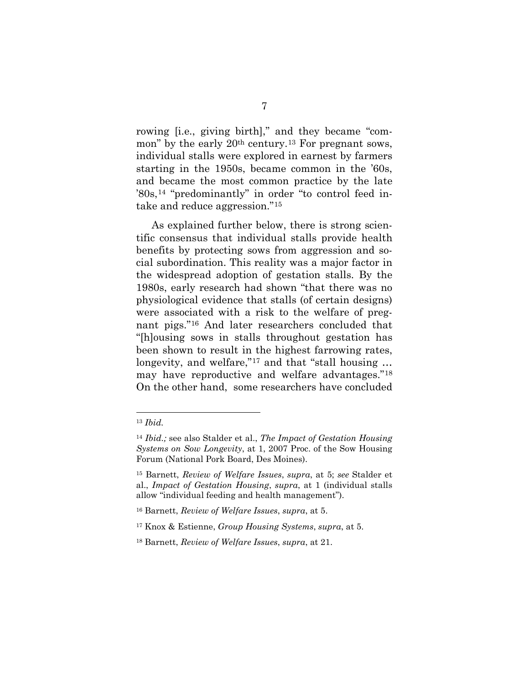rowing [i.e., giving birth]," and they became "common" by the early 20th century.[13](#page-12-0) For pregnant sows, individual stalls were explored in earnest by farmers starting in the 1950s, became common in the '60s, and became the most common practice by the late '80s,[14](#page-12-1) "predominantly" in order "to control feed intake and reduce aggression."[15](#page-12-2)

As explained further below, there is strong scientific consensus that individual stalls provide health benefits by protecting sows from aggression and social subordination. This reality was a major factor in the widespread adoption of gestation stalls. By the 1980s, early research had shown "that there was no physiological evidence that stalls (of certain designs) were associated with a risk to the welfare of pregnant pigs."[16](#page-12-3) And later researchers concluded that "[h]ousing sows in stalls throughout gestation has been shown to result in the highest farrowing rates, longevity, and welfare,"<sup>[17](#page-12-4)</sup> and that "stall housing ... may have reproductive and welfare advantages."[18](#page-12-5) On the other hand, some researchers have concluded

<span id="page-12-0"></span><sup>13</sup> *Ibid.*

<span id="page-12-1"></span><sup>14</sup> *Ibid.;* see also Stalder et al., *The Impact of Gestation Housing Systems on Sow Longevity*, at 1, 2007 Proc. of the Sow Housing Forum (National Pork Board, Des Moines).

<span id="page-12-2"></span><sup>15</sup> Barnett, *Review of Welfare Issues*, *supra*, at 5; *see* Stalder et al., *Impact of Gestation Housing*, *supra*, at 1 (individual stalls allow "individual feeding and health management").

<span id="page-12-3"></span><sup>16</sup> Barnett, *Review of Welfare Issues*, *supra*, at 5.

<span id="page-12-4"></span><sup>17</sup> Knox & Estienne, *Group Housing Systems*, *supra*, at 5.

<span id="page-12-5"></span><sup>18</sup> Barnett, *Review of Welfare Issues*, *supra*, at 21.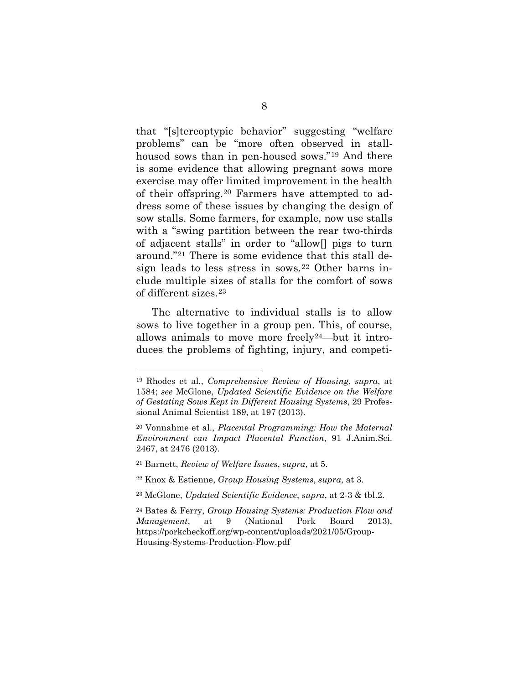that "[s]tereoptypic behavior" suggesting "welfare problems" can be "more often observed in stallhoused sows than in pen-housed sows."[19](#page-13-0) And there is some evidence that allowing pregnant sows more exercise may offer limited improvement in the health of their offspring.[20](#page-13-1) Farmers have attempted to address some of these issues by changing the design of sow stalls. Some farmers, for example, now use stalls with a "swing partition between the rear two-thirds of adjacent stalls" in order to "allow[] pigs to turn around."[21](#page-13-2) There is some evidence that this stall design leads to less stress in sows.[22](#page-13-3) Other barns include multiple sizes of stalls for the comfort of sows of different sizes.[23](#page-13-4) 

The alternative to individual stalls is to allow sows to live together in a group pen. This, of course, allows animals to move more freely[24](#page-13-5)—but it introduces the problems of fighting, injury, and competi-

<span id="page-13-0"></span><sup>19</sup> Rhodes et al., *Comprehensive Review of Housing*, *supra*, at 1584; *see* McGlone, *Updated Scientific Evidence on the Welfare of Gestating Sows Kept in Different Housing Systems*, 29 Professional Animal Scientist 189, at 197 (2013).

<span id="page-13-1"></span><sup>20</sup> Vonnahme et al., *Placental Programming: How the Maternal Environment can Impact Placental Function*, 91 J.Anim.Sci. 2467, at 2476 (2013).

<span id="page-13-2"></span><sup>21</sup> Barnett, *Review of Welfare Issues*, *supra*, at 5.

<span id="page-13-3"></span><sup>22</sup> Knox & Estienne, *Group Housing Systems*, *supra*, at 3.

<span id="page-13-4"></span><sup>23</sup> McGlone, *Updated Scientific Evidence*, *supra*, at 2-3 & tbl.2.

<span id="page-13-5"></span><sup>24</sup> Bates & Ferry, *Group Housing Systems: Production Flow and Management*, at 9 (National Pork Board 2013), [https://porkcheckoff.org/wp-content/uploads/2021/05/Group-](https://porkcheckoff.org/wp-content/uploads/2021/05/Group-Housing-Systems-Production-Flow.pdf)[Housing-Systems-Production-Flow.pdf](https://porkcheckoff.org/wp-content/uploads/2021/05/Group-Housing-Systems-Production-Flow.pdf)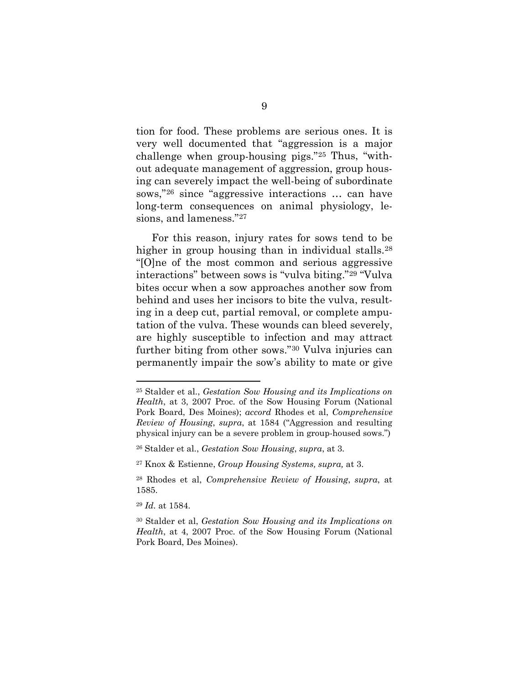tion for food. These problems are serious ones. It is very well documented that "aggression is a major challenge when group-housing pigs."[25](#page-14-0) Thus, "without adequate management of aggression, group housing can severely impact the well-being of subordinate sows,"[26](#page-14-1) since "aggressive interactions … can have long-term consequences on animal physiology, lesions, and lameness."[27](#page-14-2) 

For this reason, injury rates for sows tend to be higher in group housing than in individual stalls.<sup>28</sup> "[O]ne of the most common and serious aggressive interactions" between sows is "vulva biting."[29](#page-14-4) "Vulva bites occur when a sow approaches another sow from behind and uses her incisors to bite the vulva, resulting in a deep cut, partial removal, or complete amputation of the vulva. These wounds can bleed severely, are highly susceptible to infection and may attract further biting from other sows."[30](#page-14-5) Vulva injuries can permanently impair the sow's ability to mate or give

<span id="page-14-4"></span><sup>29</sup> *Id.* at 1584.

<span id="page-14-0"></span><sup>25</sup> Stalder et al., *Gestation Sow Housing and its Implications on Health*, at 3, 2007 Proc. of the Sow Housing Forum (National Pork Board, Des Moines); *accord* Rhodes et al, *Comprehensive Review of Housing*, *supra*, at 1584 ("Aggression and resulting physical injury can be a severe problem in group-housed sows.")

<span id="page-14-1"></span><sup>26</sup> Stalder et al., *Gestation Sow Housing*, *supra*, at 3.

<span id="page-14-2"></span><sup>27</sup> Knox & Estienne, *Group Housing Systems, supra,* at 3.

<span id="page-14-3"></span><sup>28</sup> Rhodes et al, *Comprehensive Review of Housing*, *supra*, at 1585.

<span id="page-14-5"></span><sup>30</sup> Stalder et al, *Gestation Sow Housing and its Implications on Health*, at 4, 2007 Proc. of the Sow Housing Forum (National Pork Board, Des Moines).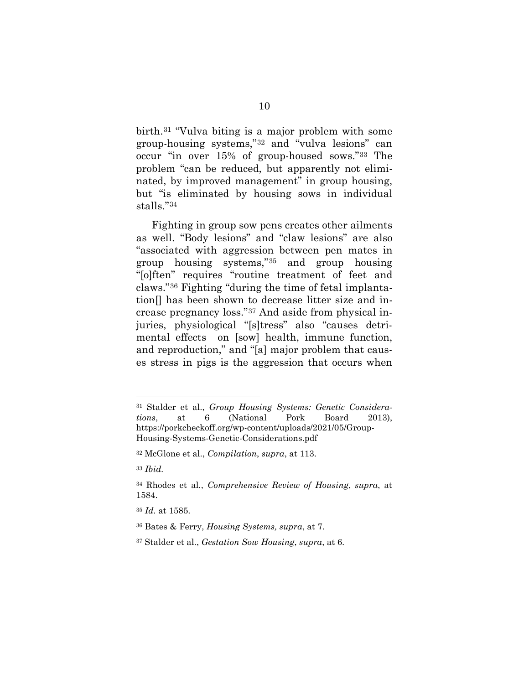birth.[31](#page-15-0) "Vulva biting is a major problem with some group-housing systems,"[32](#page-15-1) and "vulva lesions" can occur "in over 15% of group-housed sows."[33](#page-15-2) The problem "can be reduced, but apparently not eliminated, by improved management" in group housing, but "is eliminated by housing sows in individual stalls."[34](#page-15-3)

Fighting in group sow pens creates other ailments as well. "Body lesions" and "claw lesions" are also "associated with aggression between pen mates in group housing systems,"[35](#page-15-4) and group housing "[o]ften" requires "routine treatment of feet and claws."[36](#page-15-5) Fighting "during the time of fetal implantation[] has been shown to decrease litter size and increase pregnancy loss."[37](#page-15-6) And aside from physical injuries, physiological "[s]tress" also "causes detrimental effects on [sow] health, immune function, and reproduction," and "[a] major problem that causes stress in pigs is the aggression that occurs when

<span id="page-15-0"></span><sup>31</sup> Stalder et al., *Group Housing Systems: Genetic Considerations*, at 6 (National Pork Board 2013), [https://porkcheckoff.org/wp-content/uploads/2021/05/Group-](https://porkcheckoff.org/wp-content/uploads/2021/05/Group-Housing-Systems-Genetic-Considerations.pdf)[Housing-Systems-Genetic-Considerations.pdf](https://porkcheckoff.org/wp-content/uploads/2021/05/Group-Housing-Systems-Genetic-Considerations.pdf)

<span id="page-15-1"></span><sup>32</sup> McGlone et al., *Compilation*, *supra*, at 113.

<span id="page-15-2"></span><sup>33</sup> *Ibid.*

<span id="page-15-3"></span><sup>34</sup> Rhodes et al., *Comprehensive Review of Housing*, *supra*, at 1584.

<span id="page-15-4"></span><sup>35</sup> *Id.* at 1585.

<span id="page-15-5"></span><sup>36</sup> Bates & Ferry, *Housing Systems, supra*, at 7.

<span id="page-15-6"></span><sup>37</sup> Stalder et al., *Gestation Sow Housing*, *supra*, at 6.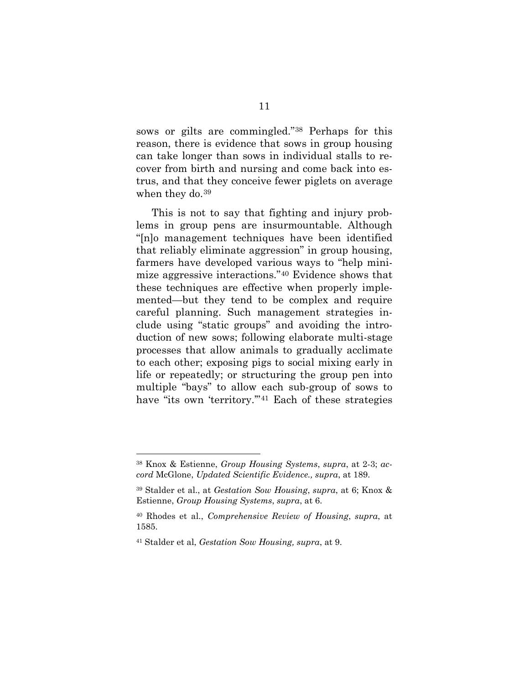sows or gilts are commingled."[38](#page-16-0) Perhaps for this reason, there is evidence that sows in group housing can take longer than sows in individual stalls to recover from birth and nursing and come back into estrus, and that they conceive fewer piglets on average when they do.<sup>[39](#page-16-1)</sup>

This is not to say that fighting and injury problems in group pens are insurmountable. Although "[n]o management techniques have been identified that reliably eliminate aggression" in group housing, farmers have developed various ways to "help minimize aggressive interactions."[40](#page-16-2) Evidence shows that these techniques are effective when properly implemented—but they tend to be complex and require careful planning. Such management strategies include using "static groups" and avoiding the introduction of new sows; following elaborate multi-stage processes that allow animals to gradually acclimate to each other; exposing pigs to social mixing early in life or repeatedly; or structuring the group pen into multiple "bays" to allow each sub-group of sows to have "its own 'territory."<sup>[41](#page-16-3)</sup> Each of these strategies

<span id="page-16-0"></span><sup>38</sup> Knox & Estienne, *Group Housing Systems*, *supra*, at 2-3; *accord* McGlone, *Updated Scientific Evidence., supra*, at 189.

<span id="page-16-1"></span><sup>39</sup> Stalder et al., at *Gestation Sow Housing*, *supra*, at 6; Knox & Estienne, *Group Housing Systems*, *supra*, at 6.

<span id="page-16-2"></span><sup>40</sup> Rhodes et al., *Comprehensive Review of Housing*, *supra*, at 1585.

<span id="page-16-3"></span><sup>41</sup> Stalder et al, *Gestation Sow Housing, supra*, at 9.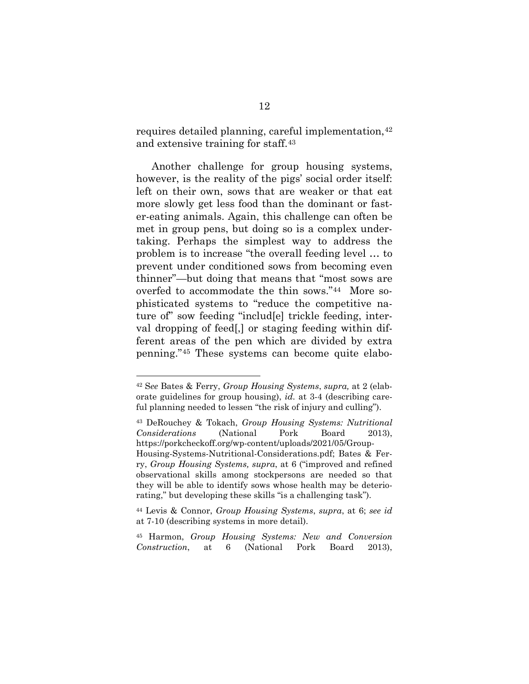requires detailed planning, careful implementation,  $42$ and extensive training for staff.[43](#page-17-1)

Another challenge for group housing systems, however, is the reality of the pigs' social order itself: left on their own, sows that are weaker or that eat more slowly get less food than the dominant or faster-eating animals. Again, this challenge can often be met in group pens, but doing so is a complex undertaking. Perhaps the simplest way to address the problem is to increase "the overall feeding level … to prevent under conditioned sows from becoming even thinner"—but doing that means that "most sows are overfed to accommodate the thin sows."[44](#page-17-2) More sophisticated systems to "reduce the competitive nature of" sow feeding "includ[e] trickle feeding, interval dropping of feed[,] or staging feeding within different areas of the pen which are divided by extra penning."[45](#page-17-3) These systems can become quite elabo-

<span id="page-17-1"></span><sup>43</sup> DeRouchey & Tokach, *Group Housing Systems: Nutritional Considerations* (National Pork Board 2013), [https://porkcheckoff.org/wp-content/uploads/2021/05/Group-](https://porkcheckoff.org/wp-content/uploads/2021/05/Group-Housing-Systems-Nutritional-Considerations.pdf)[Housing-Systems-Nutritional-Considerations.pdf;](https://porkcheckoff.org/wp-content/uploads/2021/05/Group-Housing-Systems-Nutritional-Considerations.pdf) Bates & Ferry, *Group Housing Systems, supra*, at 6 ("improved and refined observational skills among stockpersons are needed so that they will be able to identify sows whose health may be deteriorating," but developing these skills "is a challenging task").

<span id="page-17-0"></span><sup>42</sup> S*ee* Bates & Ferry, *Group Housing Systems*, *supra,* at 2 (elaborate guidelines for group housing), *id.* at 3-4 (describing careful planning needed to lessen "the risk of injury and culling").

<span id="page-17-2"></span><sup>44</sup> Levis & Connor, *Group Housing Systems*, *supra*, at 6; *see id*  at 7-10 (describing systems in more detail).

<span id="page-17-3"></span><sup>45</sup> Harmon, *Group Housing Systems: New and Conversion Construction*, at 6 (National Pork Board 2013),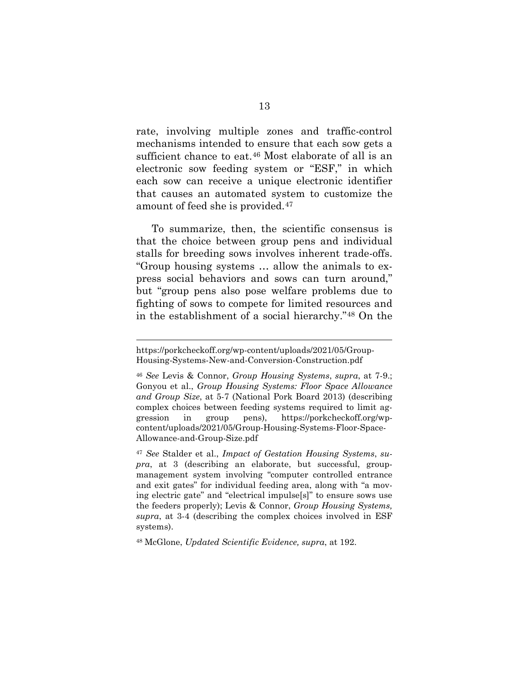rate, involving multiple zones and traffic-control mechanisms intended to ensure that each sow gets a sufficient chance to eat.<sup>[46](#page-18-0)</sup> Most elaborate of all is an electronic sow feeding system or "ESF," in which each sow can receive a unique electronic identifier that causes an automated system to customize the amount of feed she is provided.[47](#page-18-1)

To summarize, then, the scientific consensus is that the choice between group pens and individual stalls for breeding sows involves inherent trade-offs. "Group housing systems … allow the animals to express social behaviors and sows can turn around," but "group pens also pose welfare problems due to fighting of sows to compete for limited resources and in the establishment of a social hierarchy."[48](#page-18-2) On the

<span id="page-18-1"></span><sup>47</sup> *See* Stalder et al., *Impact of Gestation Housing Systems*, *supra*, at 3 (describing an elaborate, but successful, groupmanagement system involving "computer controlled entrance and exit gates" for individual feeding area, along with "a moving electric gate" and "electrical impulse[s]" to ensure sows use the feeders properly); Levis & Connor, *Group Housing Systems, supra*, at 3-4 (describing the complex choices involved in ESF systems).

<span id="page-18-2"></span><sup>48</sup> McGlone, *Updated Scientific Evidence, supra*, at 192.

https://porkcheckoff.org/wp-content/uploads/2021/05/Group-Housing-Systems-New-and-Conversion-Construction.pdf

<span id="page-18-0"></span><sup>46</sup> *See* Levis & Connor, *Group Housing Systems*, *supra*, at 7-9.; Gonyou et al., *Group Housing Systems: Floor Space Allowance and Group Size*, at 5-7 (National Pork Board 2013) (describing complex choices between feeding systems required to limit aggression in group pens), [https://porkcheckoff.org/wp](https://porkcheckoff.org/wp-content/uploads/2021/05/Group-Housing-Systems-Floor-Space-Allowance-and-Group-Size.pdf)[content/uploads/2021/05/Group-Housing-Systems-Floor-Space-](https://porkcheckoff.org/wp-content/uploads/2021/05/Group-Housing-Systems-Floor-Space-Allowance-and-Group-Size.pdf)[Allowance-and-Group-Size.pdf](https://porkcheckoff.org/wp-content/uploads/2021/05/Group-Housing-Systems-Floor-Space-Allowance-and-Group-Size.pdf)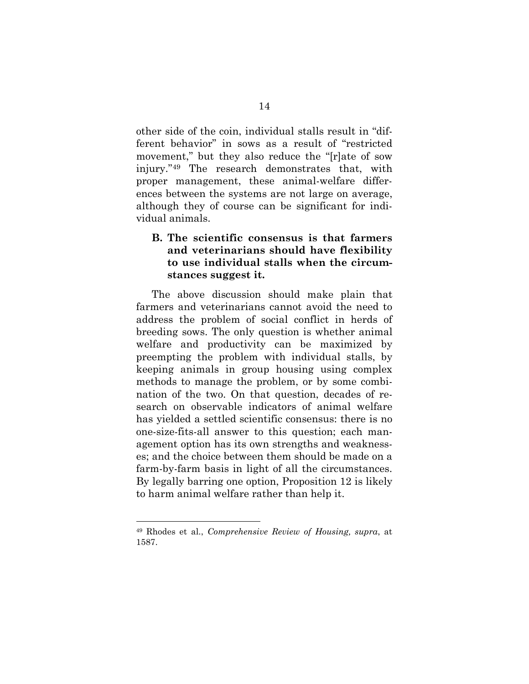other side of the coin, individual stalls result in "different behavior" in sows as a result of "restricted movement," but they also reduce the "[r]ate of sow injury."[49](#page-19-0) The research demonstrates that, with proper management, these animal-welfare differences between the systems are not large on average, although they of course can be significant for individual animals.

## **B. The scientific consensus is that farmers and veterinarians should have flexibility to use individual stalls when the circumstances suggest it.**

The above discussion should make plain that farmers and veterinarians cannot avoid the need to address the problem of social conflict in herds of breeding sows. The only question is whether animal welfare and productivity can be maximized by preempting the problem with individual stalls, by keeping animals in group housing using complex methods to manage the problem, or by some combination of the two. On that question, decades of research on observable indicators of animal welfare has yielded a settled scientific consensus: there is no one-size-fits-all answer to this question; each management option has its own strengths and weaknesses; and the choice between them should be made on a farm-by-farm basis in light of all the circumstances. By legally barring one option, Proposition 12 is likely to harm animal welfare rather than help it.

<span id="page-19-0"></span><sup>49</sup> Rhodes et al., *Comprehensive Review of Housing, supra*, at 1587.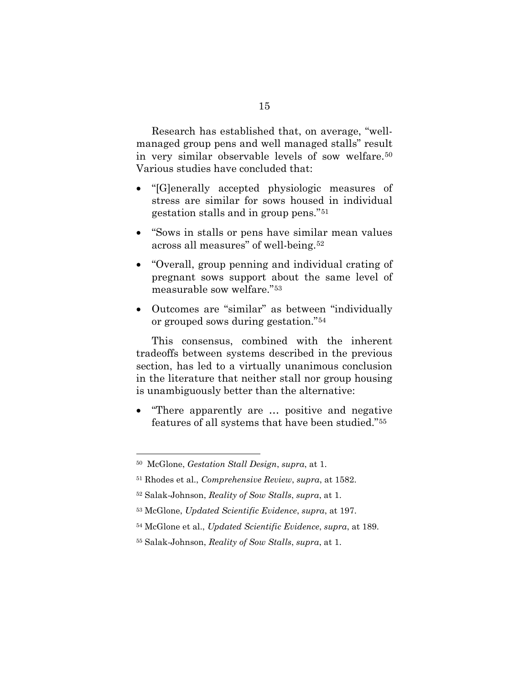Research has established that, on average, "wellmanaged group pens and well managed stalls" result in very similar observable levels of sow welfare.[50](#page-20-0) Various studies have concluded that:

- "[G]enerally accepted physiologic measures of stress are similar for sows housed in individual gestation stalls and in group pens."[51](#page-20-1)
- "Sows in stalls or pens have similar mean values across all measures" of well-being.[52](#page-20-2)
- "Overall, group penning and individual crating of pregnant sows support about the same level of measurable sow welfare."[53](#page-20-3)
- Outcomes are "similar" as between "individually or grouped sows during gestation."[54](#page-20-4)

This consensus, combined with the inherent tradeoffs between systems described in the previous section, has led to a virtually unanimous conclusion in the literature that neither stall nor group housing is unambiguously better than the alternative:

• "There apparently are … positive and negative features of all systems that have been studied."[55](#page-20-5) 

<span id="page-20-0"></span><sup>50</sup> McGlone, *Gestation Stall Design*, *supra*, at 1.

<span id="page-20-1"></span><sup>51</sup> Rhodes et al., *Comprehensive Review*, *supra*, at 1582.

<span id="page-20-2"></span><sup>52</sup> Salak-Johnson, *Reality of Sow Stalls*, *supra*, at 1.

<span id="page-20-3"></span><sup>53</sup> McGlone, *Updated Scientific Evidence*, *supra*, at 197.

<span id="page-20-4"></span><sup>54</sup> McGlone et al., *Updated Scientific Evidence*, *supra*, at 189.

<span id="page-20-5"></span><sup>55</sup> Salak-Johnson, *Reality of Sow Stalls*, *supra*, at 1.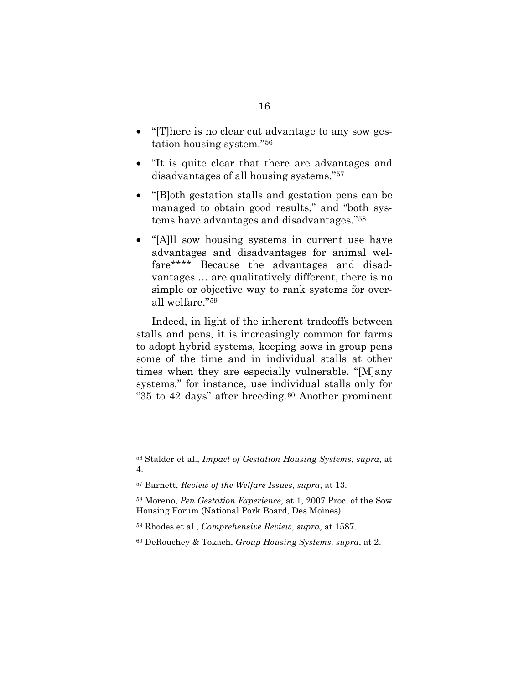- "[T] here is no clear cut advantage to any sow gestation housing system."[56](#page-21-0)
- "It is quite clear that there are advantages and disadvantages of all housing systems."[57](#page-21-1)
- "[B]oth gestation stalls and gestation pens can be managed to obtain good results," and "both systems have advantages and disadvantages."[58](#page-21-2)
- "[A]ll sow housing systems in current use have advantages and disadvantages for animal welfare\*\*\*\* Because the advantages and disadvantages … are qualitatively different, there is no simple or objective way to rank systems for overall welfare."[59](#page-21-3)

Indeed, in light of the inherent tradeoffs between stalls and pens, it is increasingly common for farms to adopt hybrid systems, keeping sows in group pens some of the time and in individual stalls at other times when they are especially vulnerable. "[M]any systems," for instance, use individual stalls only for "35 to 42 days" after breeding.[60](#page-21-4) Another prominent

<span id="page-21-0"></span><sup>56</sup> Stalder et al., *Impact of Gestation Housing Systems*, *supra*, at 4.

<span id="page-21-1"></span><sup>57</sup> Barnett, *Review of the Welfare Issues*, *supra*, at 13.

<span id="page-21-2"></span><sup>58</sup> Moreno, *Pen Gestation Experience*, at 1, 2007 Proc. of the Sow Housing Forum (National Pork Board, Des Moines).

<span id="page-21-3"></span><sup>59</sup> Rhodes et al., *Comprehensive Review, supra*, at 1587.

<span id="page-21-4"></span><sup>60</sup> DeRouchey & Tokach, *Group Housing Systems, supra*, at 2.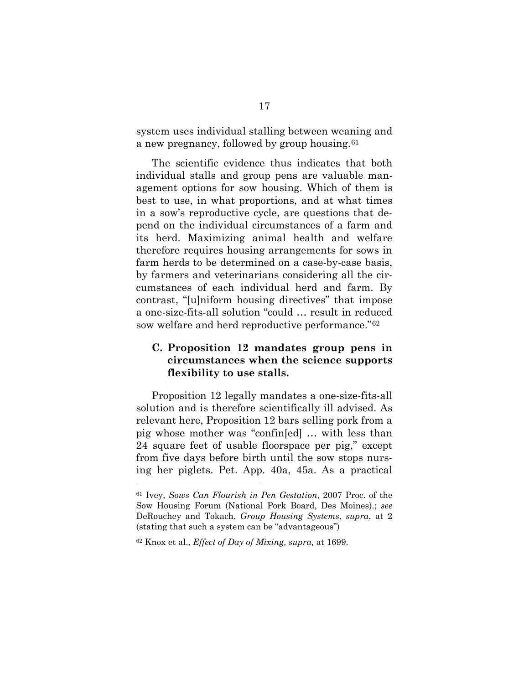system uses individual stalling between weaning and a new pregnancy, followed by group housing.[61](#page-22-0)

The scientific evidence thus indicates that both individual stalls and group pens are valuable management options for sow housing. Which of them is best to use, in what proportions, and at what times in a sow's reproductive cycle, are questions that depend on the individual circumstances of a farm and its herd. Maximizing animal health and welfare therefore requires housing arrangements for sows in farm herds to be determined on a case-by-case basis, by farmers and veterinarians considering all the circumstances of each individual herd and farm. By contrast, "[u]niform housing directives" that impose a one-size-fits-all solution "could … result in reduced sow welfare and herd reproductive performance."[62](#page-22-1)

## **C. Proposition 12 mandates group pens in circumstances when the science supports flexibility to use stalls.**

Proposition 12 legally mandates a one-size-fits-all solution and is therefore scientifically ill advised. As relevant here, Proposition 12 bars selling pork from a pig whose mother was "confin[ed] … with less than 24 square feet of usable floorspace per pig," except from five days before birth until the sow stops nursing her piglets. Pet. App. 40a, 45a. As a practical

<span id="page-22-0"></span><sup>61</sup> Ivey, *Sows Can Flourish in Pen Gestation*, 2007 Proc. of the Sow Housing Forum (National Pork Board, Des Moines).; *see*  DeRouchey and Tokach, *Group Housing Systems*, *supra*, at 2 (stating that such a system can be "advantageous")

<span id="page-22-1"></span><sup>62</sup> Knox et al., *Effect of Day of Mixing, supra,* at 1699.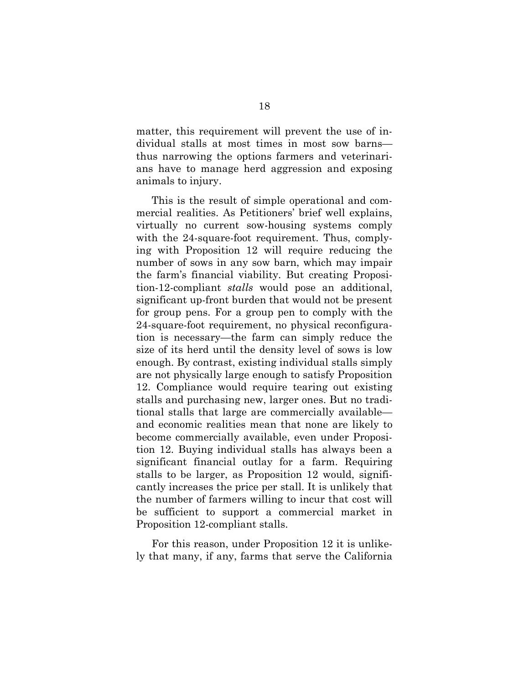matter, this requirement will prevent the use of individual stalls at most times in most sow barns thus narrowing the options farmers and veterinarians have to manage herd aggression and exposing animals to injury.

This is the result of simple operational and commercial realities. As Petitioners' brief well explains, virtually no current sow-housing systems comply with the 24-square-foot requirement. Thus, complying with Proposition 12 will require reducing the number of sows in any sow barn, which may impair the farm's financial viability. But creating Proposition-12-compliant *stalls* would pose an additional, significant up-front burden that would not be present for group pens. For a group pen to comply with the 24-square-foot requirement, no physical reconfiguration is necessary—the farm can simply reduce the size of its herd until the density level of sows is low enough. By contrast, existing individual stalls simply are not physically large enough to satisfy Proposition 12. Compliance would require tearing out existing stalls and purchasing new, larger ones. But no traditional stalls that large are commercially available and economic realities mean that none are likely to become commercially available, even under Proposition 12. Buying individual stalls has always been a significant financial outlay for a farm. Requiring stalls to be larger, as Proposition 12 would, significantly increases the price per stall. It is unlikely that the number of farmers willing to incur that cost will be sufficient to support a commercial market in Proposition 12-compliant stalls.

For this reason, under Proposition 12 it is unlikely that many, if any, farms that serve the California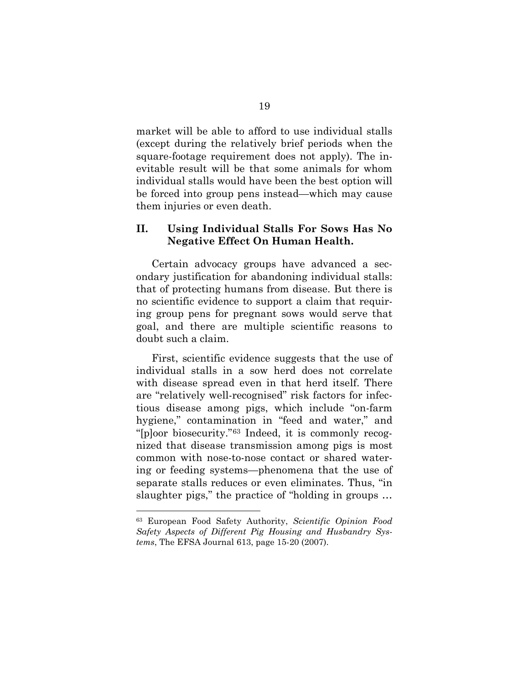market will be able to afford to use individual stalls (except during the relatively brief periods when the square-footage requirement does not apply). The inevitable result will be that some animals for whom individual stalls would have been the best option will be forced into group pens instead—which may cause them injuries or even death.

## **II. Using Individual Stalls For Sows Has No Negative Effect On Human Health.**

Certain advocacy groups have advanced a secondary justification for abandoning individual stalls: that of protecting humans from disease. But there is no scientific evidence to support a claim that requiring group pens for pregnant sows would serve that goal, and there are multiple scientific reasons to doubt such a claim.

First, scientific evidence suggests that the use of individual stalls in a sow herd does not correlate with disease spread even in that herd itself. There are "relatively well-recognised" risk factors for infectious disease among pigs, which include "on-farm hygiene," contamination in "feed and water," and "[p]oor biosecurity."[63](#page-24-0) Indeed, it is commonly recognized that disease transmission among pigs is most common with nose-to-nose contact or shared watering or feeding systems—phenomena that the use of separate stalls reduces or even eliminates. Thus, "in slaughter pigs," the practice of "holding in groups …

<span id="page-24-0"></span><sup>63</sup> European Food Safety Authority, *Scientific Opinion Food Safety Aspects of Different Pig Housing and Husbandry Systems*, The EFSA Journal 613, page 15-20 (2007).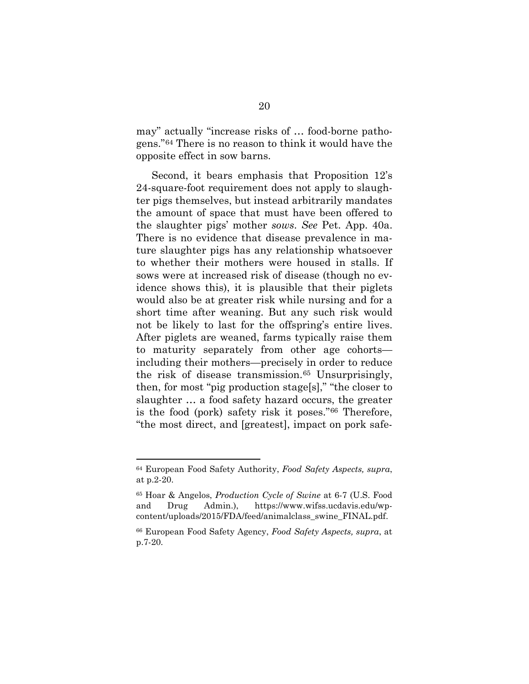may" actually "increase risks of … food-borne pathogens."[64](#page-25-0) There is no reason to think it would have the opposite effect in sow barns.

Second, it bears emphasis that Proposition 12's 24-square-foot requirement does not apply to slaughter pigs themselves, but instead arbitrarily mandates the amount of space that must have been offered to the slaughter pigs' mother *sows*. *See* Pet. App. 40a. There is no evidence that disease prevalence in mature slaughter pigs has any relationship whatsoever to whether their mothers were housed in stalls. If sows were at increased risk of disease (though no evidence shows this), it is plausible that their piglets would also be at greater risk while nursing and for a short time after weaning. But any such risk would not be likely to last for the offspring's entire lives. After piglets are weaned, farms typically raise them to maturity separately from other age cohorts including their mothers—precisely in order to reduce the risk of disease transmission.[65](#page-25-1) Unsurprisingly, then, for most "pig production stage[s]," "the closer to slaughter … a food safety hazard occurs, the greater is the food (pork) safety risk it poses."[66](#page-25-2) Therefore, "the most direct, and [greatest], impact on pork safe-

<span id="page-25-0"></span><sup>64</sup> European Food Safety Authority, *Food Safety Aspects, supra*, at p.2-20.

<span id="page-25-1"></span><sup>65</sup> Hoar & Angelos, *Production Cycle of Swine* at 6-7 (U.S. Food and Drug Admin.), https://www.wifss.ucdavis.edu/wpcontent/uploads/2015/FDA/feed/animalclass\_swine\_FINAL.pdf.

<span id="page-25-2"></span><sup>66</sup> European Food Safety Agency, *Food Safety Aspects, supra*, at p.7-20.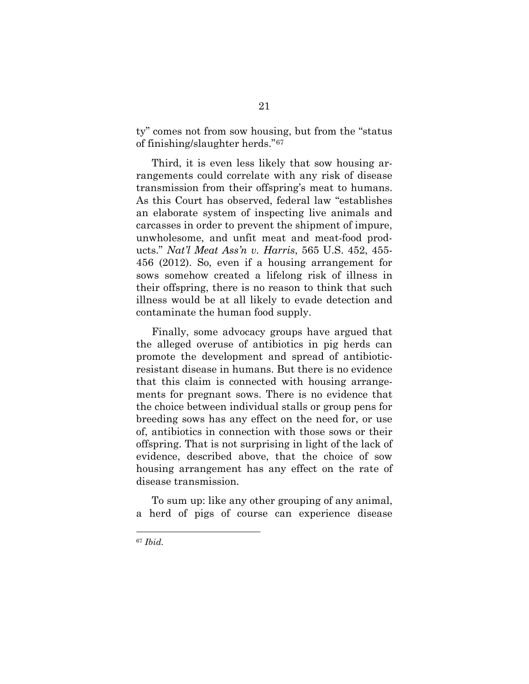ty" comes not from sow housing, but from the "status of finishing/slaughter herds."[67](#page-26-0) 

Third, it is even less likely that sow housing arrangements could correlate with any risk of disease transmission from their offspring's meat to humans. As this Court has observed, federal law "establishes an elaborate system of inspecting live animals and carcasses in order to prevent the shipment of impure, unwholesome, and unfit meat and meat-food products." *Nat'l Meat Ass'n v. Harris*, 565 U.S. 452, 455- 456 (2012). So, even if a housing arrangement for sows somehow created a lifelong risk of illness in their offspring, there is no reason to think that such illness would be at all likely to evade detection and contaminate the human food supply.

Finally, some advocacy groups have argued that the alleged overuse of antibiotics in pig herds can promote the development and spread of antibioticresistant disease in humans. But there is no evidence that this claim is connected with housing arrangements for pregnant sows. There is no evidence that the choice between individual stalls or group pens for breeding sows has any effect on the need for, or use of, antibiotics in connection with those sows or their offspring. That is not surprising in light of the lack of evidence, described above, that the choice of sow housing arrangement has any effect on the rate of disease transmission.

To sum up: like any other grouping of any animal, a herd of pigs of course can experience disease

<span id="page-26-0"></span><sup>67</sup> *Ibid.*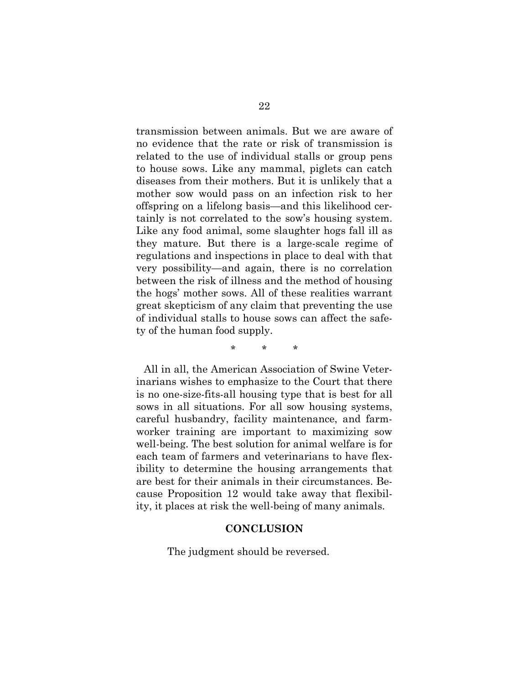transmission between animals. But we are aware of no evidence that the rate or risk of transmission is related to the use of individual stalls or group pens to house sows. Like any mammal, piglets can catch diseases from their mothers. But it is unlikely that a mother sow would pass on an infection risk to her offspring on a lifelong basis—and this likelihood certainly is not correlated to the sow's housing system. Like any food animal, some slaughter hogs fall ill as they mature. But there is a large-scale regime of regulations and inspections in place to deal with that very possibility—and again, there is no correlation between the risk of illness and the method of housing the hogs' mother sows. All of these realities warrant great skepticism of any claim that preventing the use of individual stalls to house sows can affect the safety of the human food supply.

\* \* \*

All in all, the American Association of Swine Veterinarians wishes to emphasize to the Court that there is no one-size-fits-all housing type that is best for all sows in all situations. For all sow housing systems, careful husbandry, facility maintenance, and farmworker training are important to maximizing sow well-being. The best solution for animal welfare is for each team of farmers and veterinarians to have flexibility to determine the housing arrangements that are best for their animals in their circumstances. Because Proposition 12 would take away that flexibility, it places at risk the well-being of many animals.

#### **CONCLUSION**

The judgment should be reversed.